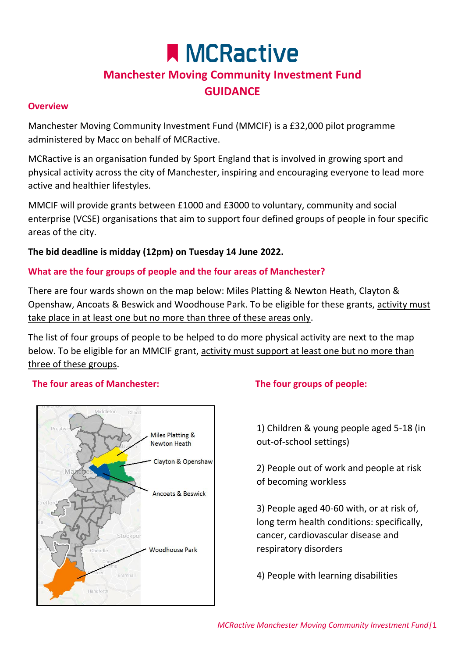# **A MCRactive Manchester Moving Community Investment Fund GUIDANCE**

#### **Overview**

Manchester Moving Community Investment Fund (MMCIF) is a £32,000 pilot programme administered by Macc on behalf of MCRactive.

MCRactive is an organisation funded by Sport England that is involved in growing sport and physical activity across the city of Manchester, inspiring and encouraging everyone to lead more active and healthier lifestyles.

MMCIF will provide grants between £1000 and £3000 to voluntary, community and social enterprise (VCSE) organisations that aim to support four defined groups of people in four specific areas of the city.

#### **The bid deadline is midday (12pm) on Tuesday 14 June 2022.**

#### **What are the four groups of people and the four areas of Manchester?**

There are four wards shown on the map below: Miles Platting & Newton Heath, Clayton & Openshaw, Ancoats & Beswick and Woodhouse Park. To be eligible for these grants, activity must take place in at least one but no more than three of these areas only.

The list of four groups of people to be helped to do more physical activity are next to the map below. To be eligible for an MMCIF grant, activity must support at least one but no more than three of these groups.

#### **The four areas of Manchester: The four groups of people:**



1) Children & young people aged 5-18 (in out-of-school settings)

2) People out of work and people at risk of becoming workless

3) People aged 40-60 with, or at risk of, long term health conditions: specifically, cancer, cardiovascular disease and respiratory disorders

4) People with learning disabilities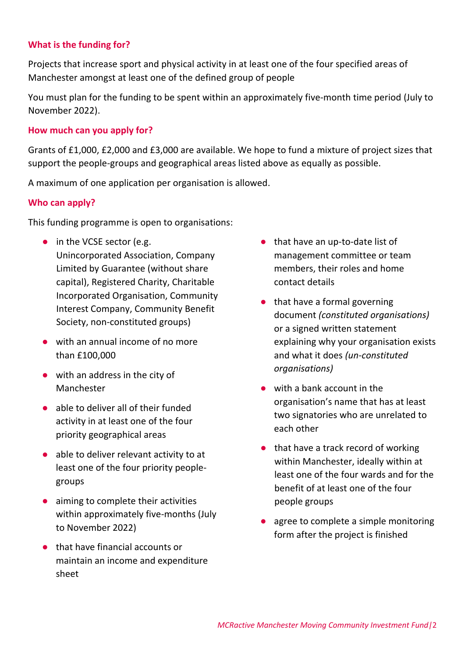# **What is the funding for?**

Projects that increase sport and physical activity in at least one of the four specified areas of Manchester amongst at least one of the defined group of people

You must plan for the funding to be spent within an approximately five-month time period (July to November 2022).

#### **How much can you apply for?**

Grants of £1,000, £2,000 and £3,000 are available. We hope to fund a mixture of project sizes that support the people-groups and geographical areas listed above as equally as possible.

A maximum of one application per organisation is allowed.

#### **Who can apply?**

This funding programme is open to organisations:

- **●** in the VCSE sector (e.g. Unincorporated Association, Company Limited by Guarantee (without share capital), Registered Charity, Charitable Incorporated Organisation, Community Interest Company, Community Benefit Society, non-constituted groups)
- **●** with an annual income of no more than £100,000
- **●** with an address in the city of Manchester
- **●** able to deliver all of their funded activity in at least one of the four priority geographical areas
- **●** able to deliver relevant activity to at least one of the four priority peoplegroups
- **●** aiming to complete their activities within approximately five-months (July to November 2022)
- **●** that have financial accounts or maintain an income and expenditure sheet
- **●** that have an up-to-date list of management committee or team members, their roles and home contact details
- **●** that have a formal governing document *(constituted organisations)* or a signed written statement explaining why your organisation exists and what it does *(un-constituted organisations)*
- **●** with a bank account in the organisation's name that has at least two signatories who are unrelated to each other
- **●** that have a track record of working within Manchester, ideally within at least one of the four wards and for the benefit of at least one of the four people groups
- **●** agree to complete a simple monitoring form after the project is finished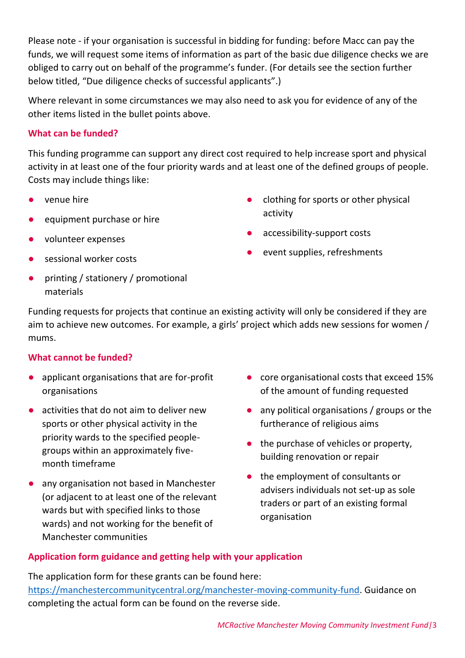Please note - if your organisation is successful in bidding for funding: before Macc can pay the funds, we will request some items of information as part of the basic due diligence checks we are obliged to carry out on behalf of the programme's funder. (For details see the section further below titled, "Due diligence checks of successful applicants".)

Where relevant in some circumstances we may also need to ask you for evidence of any of the other items listed in the bullet points above.

# **What can be funded?**

This funding programme can support any direct cost required to help increase sport and physical activity in at least one of the four priority wards and at least one of the defined groups of people. Costs may include things like:

- **●** venue hire
- **●** equipment purchase or hire
- **●** volunteer expenses
- **●** sessional worker costs
- **●** printing / stationery / promotional materials
- **●** clothing for sports or other physical activity
- **●** accessibility-support costs
- **●** event supplies, refreshments

Funding requests for projects that continue an existing activity will only be considered if they are aim to achieve new outcomes. For example, a girls' project which adds new sessions for women / mums.

# **What cannot be funded?**

- **●** applicant organisations that are for-profit organisations
- **●** activities that do not aim to deliver new sports or other physical activity in the priority wards to the specified peoplegroups within an approximately fivemonth timeframe
- **●** any organisation not based in Manchester (or adjacent to at least one of the relevant wards but with specified links to those wards) and not working for the benefit of Manchester communities
- **●** core organisational costs that exceed 15% of the amount of funding requested
- any political organisations / groups or the furtherance of religious aims
- **●** the purchase of vehicles or property, building renovation or repair
- **●** the employment of consultants or advisers individuals not set-up as sole traders or part of an existing formal organisation

# **Application form guidance and getting help with your application**

The application form for these grants can be found here: [https://manchestercommunitycentral.org/manchester-moving-community-fund.](https://manchestercommunitycentral.org/manchester-moving-community-fund) Guidance on completing the actual form can be found on the reverse side.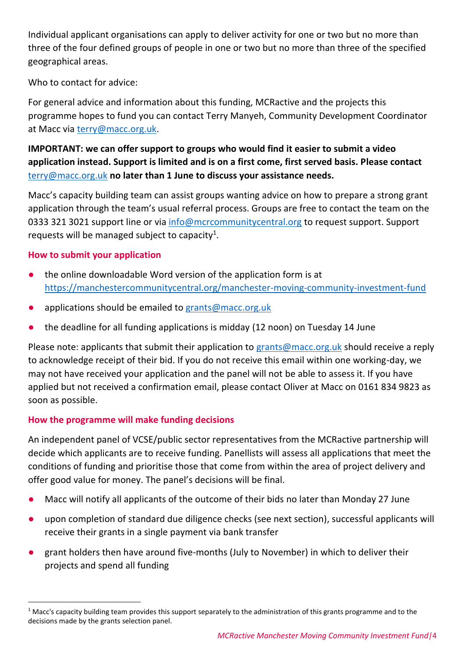Individual applicant organisations can apply to deliver activity for one or two but no more than three of the four defined groups of people in one or two but no more than three of the specified geographical areas.

Who to contact for advice:

For general advice and information about this funding, MCRactive and the projects this programme hopes to fund you can contact Terry Manyeh, Community Development Coordinator at Macc via [terry@macc.org.uk.](mailto:terry@macc.org.uk)

# **IMPORTANT: we can offer support to groups who would find it easier to submit a video application instead. Support is limited and is on a first come, first served basis. Please contact**  [terry@macc.org.uk](mailto:terry@macc.org.uk) **no later than 1 June to discuss your assistance needs.**

Macc's capacity building team can assist groups wanting advice on how to prepare a strong grant application through the team's usual referral process. Groups are free to contact the team on the 0333 321 3021 support line or via [info@mcrcommunitycentral.org](mailto:info@mcrcommunitycentral.org) to request support. Support requests will be managed subject to capacity<sup>1</sup>.

# **How to submit your application**

<u>.</u>

- **●** the online downloadable Word version of the application form is at <https://manchestercommunitycentral.org/manchester-moving-community-investment-fund>
- **●** applications should be emailed to [grants@macc.org.uk](mailto:grants@macc.org.uk)
- **●** the deadline for all funding applications is midday (12 noon) on Tuesday 14 June

Please note: applicants that submit their application to [grants@macc.org.uk](mailto:grants@macc.org.uk) should receive a reply to acknowledge receipt of their bid. If you do not receive this email within one working-day, we may not have received your application and the panel will not be able to assess it. If you have applied but not received a confirmation email, please contact Oliver at Macc on 0161 834 9823 as soon as possible.

# **How the programme will make funding decisions**

An independent panel of VCSE/public sector representatives from the MCRactive partnership will decide which applicants are to receive funding. Panellists will assess all applications that meet the conditions of funding and prioritise those that come from within the area of project delivery and offer good value for money. The panel's decisions will be final.

- Macc will notify all applicants of the outcome of their bids no later than Monday 27 June
- upon completion of standard due diligence checks (see next section), successful applicants will receive their grants in a single payment via bank transfer
- **●** grant holders then have around five-months (July to November) in which to deliver their projects and spend all funding

 $1$  Macc's capacity building team provides this support separately to the administration of this grants programme and to the decisions made by the grants selection panel.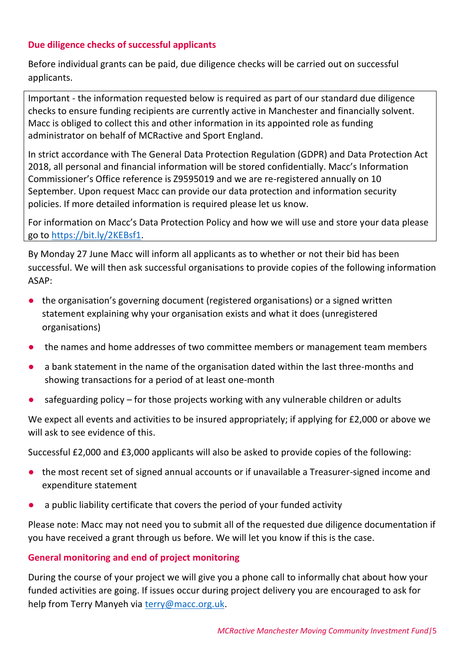#### **Due diligence checks of successful applicants**

Before individual grants can be paid, due diligence checks will be carried out on successful applicants.

Important - the information requested below is required as part of our standard due diligence checks to ensure funding recipients are currently active in Manchester and financially solvent. Macc is obliged to collect this and other information in its appointed role as funding administrator on behalf of MCRactive and Sport England.

In strict accordance with The General Data Protection Regulation (GDPR) and Data Protection Act 2018, all personal and financial information will be stored confidentially. Macc's Information Commissioner's Office reference is Z9595019 and we are re-registered annually on 10 September. Upon request Macc can provide our data protection and information security policies. If more detailed information is required please let us know.

For information on Macc's Data Protection Policy and how we will use and store your data please go to [https://bit.ly/2KEBsf1.](https://bit.ly/2KEBsf1)

By Monday 27 June Macc will inform all applicants as to whether or not their bid has been successful. We will then ask successful organisations to provide copies of the following information ASAP:

- **●** the organisation's governing document (registered organisations) or a signed written statement explaining why your organisation exists and what it does (unregistered organisations)
- **●** the names and home addresses of two committee members or management team members
- **●** a bank statement in the name of the organisation dated within the last three-months and showing transactions for a period of at least one-month
- safeguarding policy for those projects working with any vulnerable children or adults

We expect all events and activities to be insured appropriately; if applying for £2,000 or above we will ask to see evidence of this.

Successful £2,000 and £3,000 applicants will also be asked to provide copies of the following:

- **●** the most recent set of signed annual accounts or if unavailable a Treasurer-signed income and expenditure statement
- **●** a public liability certificate that covers the period of your funded activity

Please note: Macc may not need you to submit all of the requested due diligence documentation if you have received a grant through us before. We will let you know if this is the case.

# **General monitoring and end of project monitoring**

During the course of your project we will give you a phone call to informally chat about how your funded activities are going. If issues occur during project delivery you are encouraged to ask for help from Terry Manyeh via [terry@macc.org.uk.](mailto:terry@macc.org.uk)